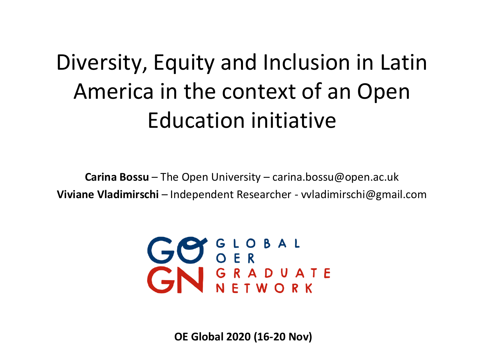### Diversity, Equity and Inclusion in Latin America in the context of an Open Education initiative

**Carina Bossu** – The Open University – carina.bossu@open.ac.uk **Viviane Vladimirschi** – Independent Researcher - vvladimirschi@gmail.com



**OE Global 2020 (16-20 Nov)**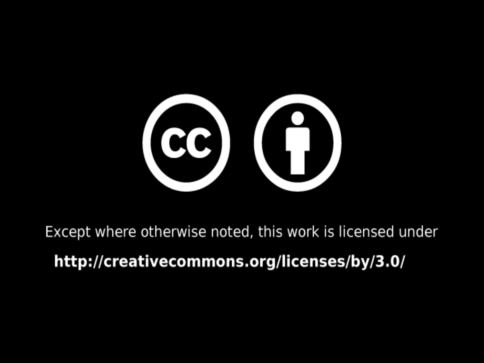

Except where otherwise noted, this work is licensed under

http://creativecommons.org/licenses/by/3.0/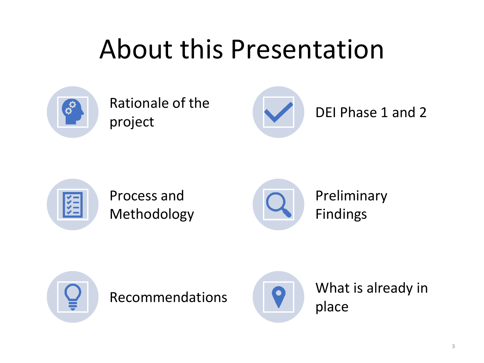# About this Presentation



Rationale of the project DEI Phase 1 and 2





Process and Methodology



Preliminary Findings





Recommendations **COLO** What is already in place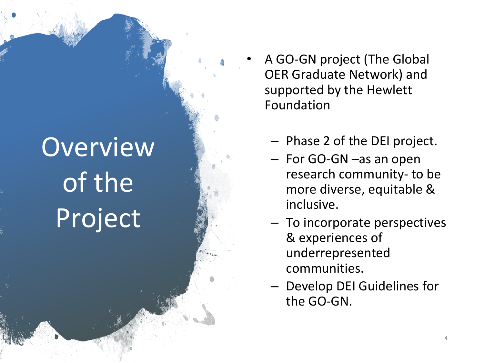# Overview of the Project

- A GO-GN project (The Global OER Graduate Network) and supported by the Hewlett Foundation
	- Phase 2 of the DEI project.
	- For GO-GN –as an open research community- to be more diverse, equitable & inclusive.
	- To incorporate perspectives & experiences of underrepresented communities.
	- Develop DEI Guidelines for the GO-GN.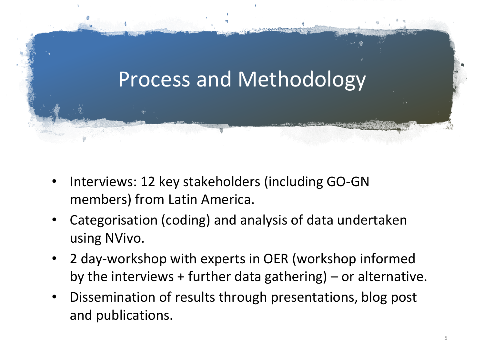

- Interviews: 12 key stakeholders (including GO-GN members) from Latin America.
- Categorisation (coding) and analysis of data undertaken using NVivo.
- 2 day-workshop with experts in OER (workshop informed by the interviews  $+$  further data gathering) – or alternative.
- Dissemination of results through presentations, blog post and publications.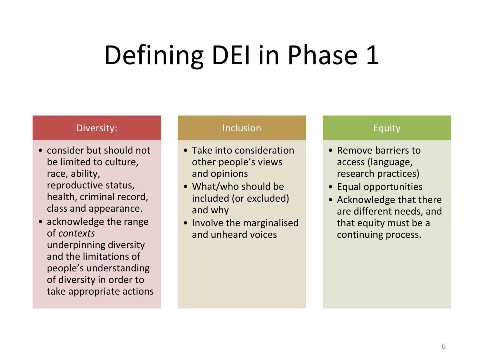# Defining DEI in Phase 1

#### Diversity:

- consider but should not be limited to culture, race, ability, reproductive status, health, criminal record, class and appearance.
- acknowledge the range of *contexts* underpinning diversity and the limitations of people's understanding of diversity in order to take appropriate actions

#### Inclusion

- Take into consideration other people's views and opinions
- What/who should be included (or excluded) and why
- Involve the marginalised and unheard voices

#### Equity

- Remove barriers to access (language, research practices)
- Equal opportunities
- Acknowledge that there are different needs, and that equity must be a continuing process.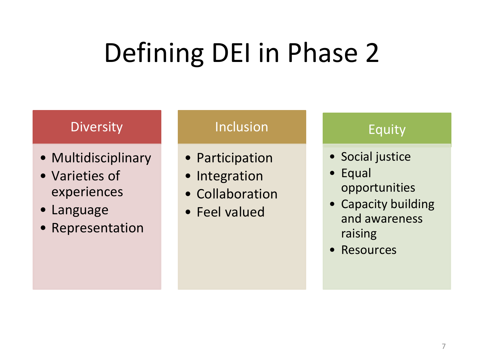# Defining DEI in Phase 2

### Diversity

- Multidisciplinary
- Varieties of experiences
- Language
- Representation

#### Inclusion

- Participation
- Integration
- Collaboration
- Feel valued

#### Equity

- Social justice
- Equal opportunities
- Capacity building and awareness raising
- Resources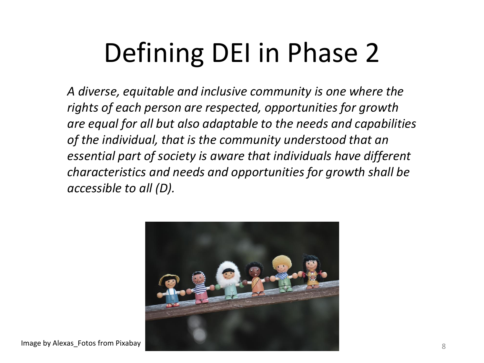# Defining DEI in Phase 2

*A diverse, equitable and inclusive community is one where the rights of each person are respected, opportunities for growth are equal for all but also adaptable to the needs and capabilities of the individual, that is the community understood that an essential part of society is aware that individuals have different characteristics and needs and opportunities for growth shall be accessible to all (D).* 

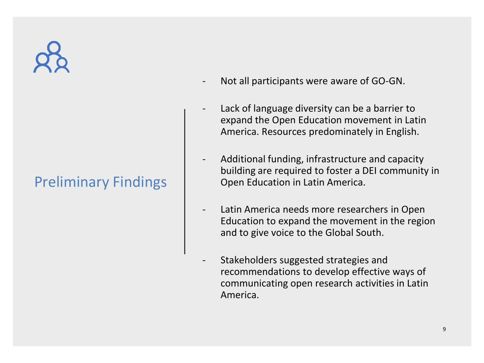

### Preliminary Findings

- Not all participants were aware of GO-GN.
- Lack of language diversity can be a barrier to expand the Open Education movement in Latin America. Resources predominately in English.
- Additional funding, infrastructure and capacity building are required to foster a DEI community in Open Education in Latin America.
- Latin America needs more researchers in Open Education to expand the movement in the region and to give voice to the Global South.
- Stakeholders suggested strategies and recommendations to develop effective ways of communicating open research activities in Latin America.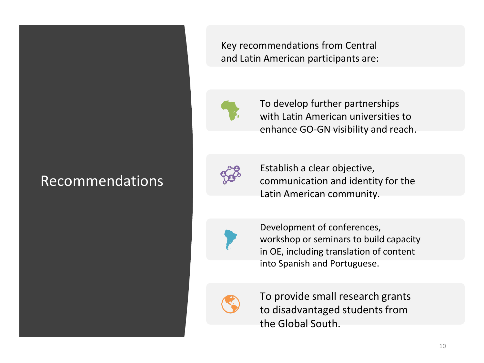### Recommendations

Key recommendations from Central and Latin American participants are:



To develop further partnerships with Latin American universities to enhance GO-GN visibility and reach.



Establish a clear objective, communication and identity for the Latin American community.



Development of conferences, workshop or seminars to build capacity in OE, including translation of content into Spanish and Portuguese.



To provide small research grants to disadvantaged students from the Global South.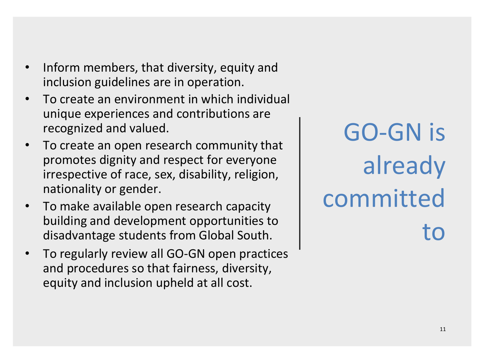- Inform members, that diversity, equity and inclusion guidelines are in operation.
- To create an environment in which individual unique experiences and contributions are recognized and valued.
- To create an open research community that promotes dignity and respect for everyone irrespective of race, sex, disability, religion, nationality or gender.
- To make available open research capacity building and development opportunities to disadvantage students from Global South.
- To regularly review all GO-GN open practices and procedures so that fairness, diversity, equity and inclusion upheld at all cost.

GO-GN is already committed to